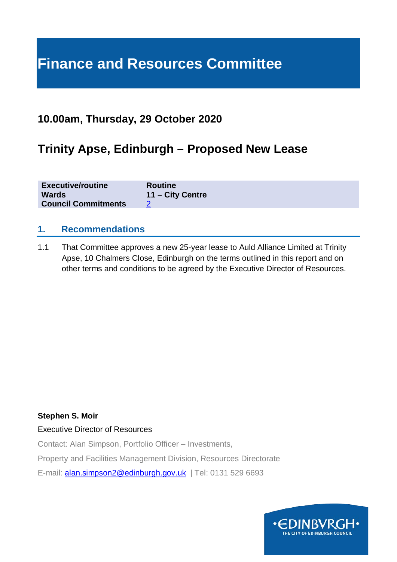# **Finance and Resources Committee**

### **10.00am, Thursday, 29 October 2020**

## **Trinity Apse, Edinburgh – Proposed New Lease**

| <b>Executive/routine</b>   | <b>Routine</b>   |
|----------------------------|------------------|
| <b>Wards</b>               | 11 – City Centre |
| <b>Council Commitments</b> |                  |

#### **1. Recommendations**

1.1 That Committee approves a new 25-year lease to Auld Alliance Limited at Trinity Apse, 10 Chalmers Close, Edinburgh on the terms outlined in this report and on other terms and conditions to be agreed by the Executive Director of Resources.

#### **Stephen S. Moir**

#### Executive Director of Resources

Contact: Alan Simpson, Portfolio Officer – Investments,

Property and Facilities Management Division, Resources Directorate

E-mail: [alan.simpson2@edinburgh.gov.uk](mailto:alan.simpson2@edinburgh.gov.uk) | Tel: 0131 529 6693

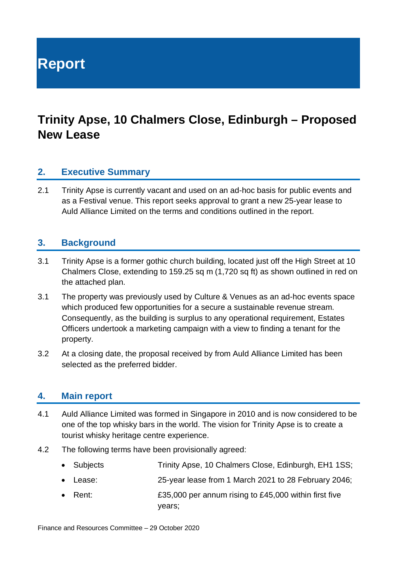**Report**

# **Trinity Apse, 10 Chalmers Close, Edinburgh – Proposed New Lease**

#### **2. Executive Summary**

2.1 Trinity Apse is currently vacant and used on an ad-hoc basis for public events and as a Festival venue. This report seeks approval to grant a new 25-year lease to Auld Alliance Limited on the terms and conditions outlined in the report.

#### **3. Background**

- 3.1 Trinity Apse is a former gothic church building, located just off the High Street at 10 Chalmers Close, extending to 159.25 sq m (1,720 sq ft) as shown outlined in red on the attached plan.
- 3.1 The property was previously used by Culture & Venues as an ad-hoc events space which produced few opportunities for a secure a sustainable revenue stream. Consequently, as the building is surplus to any operational requirement, Estates Officers undertook a marketing campaign with a view to finding a tenant for the property.
- 3.2 At a closing date, the proposal received by from Auld Alliance Limited has been selected as the preferred bidder.

#### **4. Main report**

- 4.1 Auld Alliance Limited was formed in Singapore in 2010 and is now considered to be one of the top whisky bars in the world. The vision for Trinity Apse is to create a tourist whisky heritage centre experience.
- 4.2 The following terms have been provisionally agreed:
	- Subjects Trinity Apse, 10 Chalmers Close, Edinburgh, EH1 1SS;
	- Lease: 25-year lease from 1 March 2021 to 28 February 2046;
	- Rent: E35,000 per annum rising to £45,000 within first five years;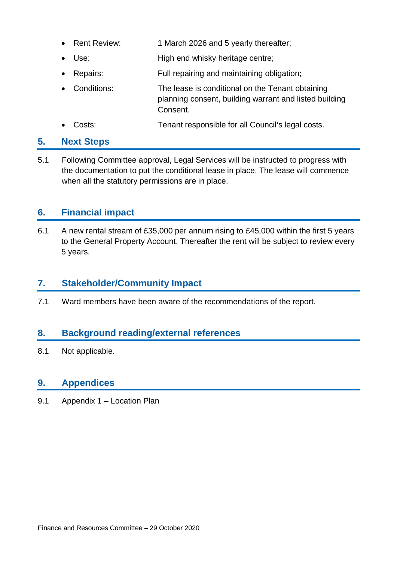- Rent Review: 1 March 2026 and 5 yearly thereafter;
- Use: High end whisky heritage centre;
- Repairs: Full repairing and maintaining obligation;
- Conditions: The lease is conditional on the Tenant obtaining planning consent, building warrant and listed building Consent.
- Costs: Tenant responsible for all Council's legal costs.

#### **5. Next Steps**

5.1 Following Committee approval, Legal Services will be instructed to progress with the documentation to put the conditional lease in place. The lease will commence when all the statutory permissions are in place.

#### **6. Financial impact**

6.1 A new rental stream of £35,000 per annum rising to £45,000 within the first 5 years to the General Property Account. Thereafter the rent will be subject to review every 5 years.

### **7. Stakeholder/Community Impact**

7.1 Ward members have been aware of the recommendations of the report.

### **8. Background reading/external references**

8.1 Not applicable.

#### **9. Appendices**

9.1 Appendix 1 – Location Plan